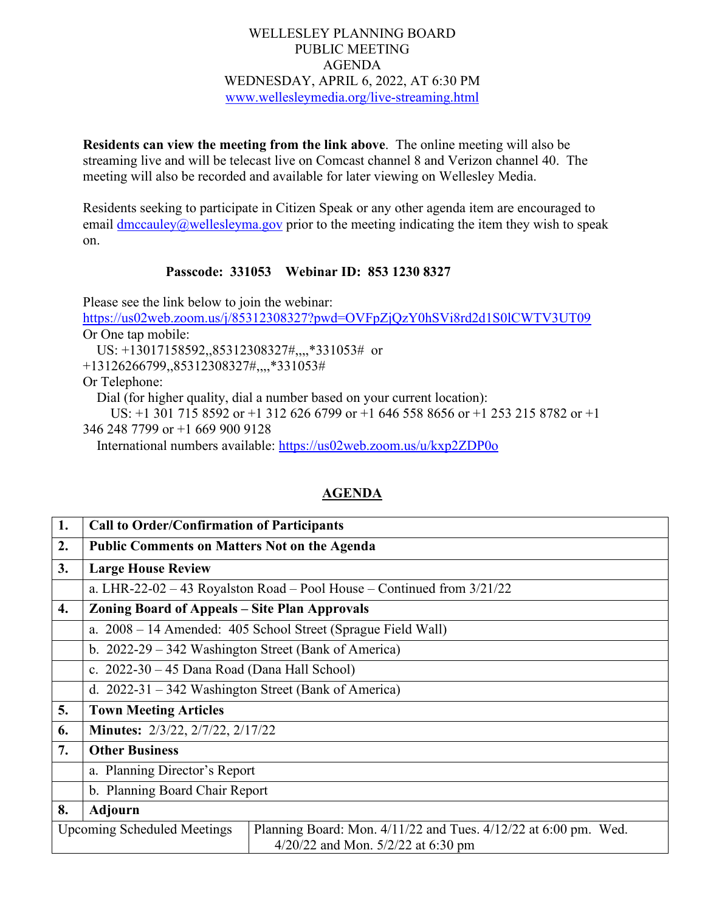## WELLESLEY PLANNING BOARD PUBLIC MEETING AGENDA WEDNESDAY, APRIL 6, 2022, AT 6:30 PM [www.wellesleymedia.org/live-streaming.html](http://www.wellesleymedia.org/live-streaming.html)

**Residents can view the meeting from the link above**. The online meeting will also be streaming live and will be telecast live on Comcast channel 8 and Verizon channel 40. The meeting will also be recorded and available for later viewing on Wellesley Media.

Residents seeking to participate in Citizen Speak or any other agenda item are encouraged to email  $\frac{dmcauley}{a}$  wellesleyma.gov prior to the meeting indicating the item they wish to speak on.

## **Passcode: 331053 Webinar ID: 853 1230 8327**

Please see the link below to join the webinar: <https://us02web.zoom.us/j/85312308327?pwd=OVFpZjQzY0hSVi8rd2d1S0lCWTV3UT09> Or One tap mobile: US: +13017158592,,85312308327#,,,,\*331053# or +13126266799,,85312308327#,,,,\*331053# Or Telephone: Dial (for higher quality, dial a number based on your current location): US: +1 301 715 8592 or +1 312 626 6799 or +1 646 558 8656 or +1 253 215 8782 or +1 346 248 7799 or +1 669 900 9128 International numbers available:<https://us02web.zoom.us/u/kxp2ZDP0o>

## **1. Call to Order/Confirmation of Participants 2. Public Comments on Matters Not on the Agenda 3. Large House Review** a. LHR-22-02 – 43 Royalston Road – Pool House – Continued from 3/21/22 **4. Zoning Board of Appeals – Site Plan Approvals** a. 2008 – 14 Amended: 405 School Street (Sprague Field Wall) b. 2022-29 – 342 Washington Street (Bank of America) c. 2022-30 – 45 Dana Road (Dana Hall School) d. 2022-31 – 342 Washington Street (Bank of America) **5. Town Meeting Articles 6. Minutes:** 2/3/22, 2/7/22, 2/17/22 **7. Other Business** a. Planning Director's Report b. Planning Board Chair Report **8. Adjourn** Upcoming Scheduled Meetings | Planning Board: Mon. 4/11/22 and Tues. 4/12/22 at 6:00 pm. Wed. 4/20/22 and Mon. 5/2/22 at 6:30 pm

## **AGENDA**